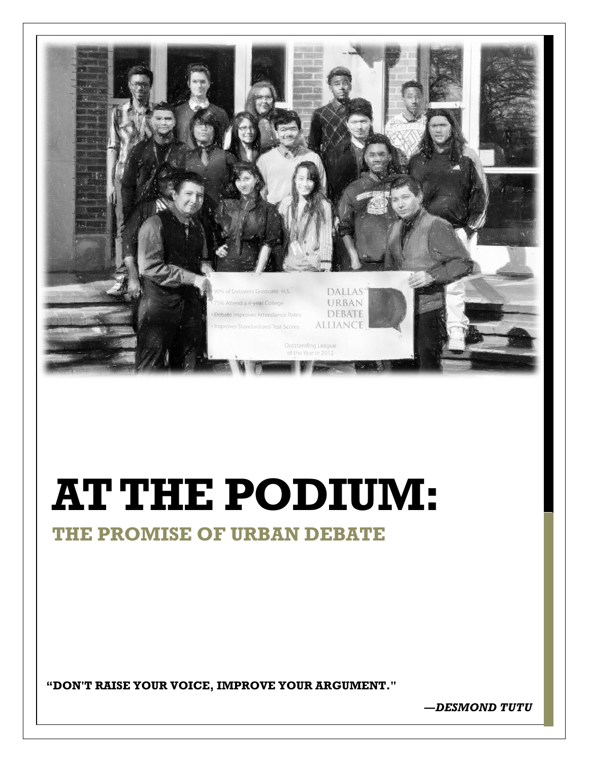

# **AT THE PODIUM:**

# **THE PROMISE OF URBAN DEBATE**

**"DON'T RAISE YOUR VOICE, IMPROVE YOUR ARGUMENT."**

**―***DESMOND TUTU*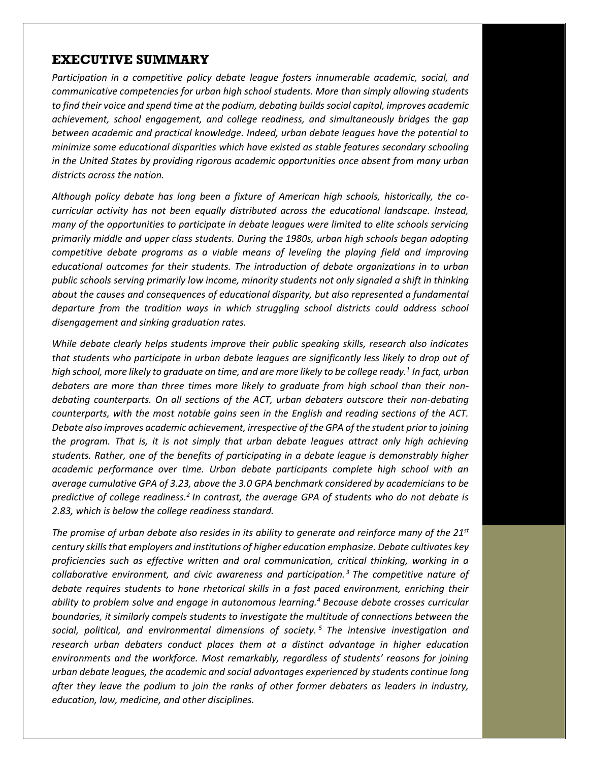#### **EXECUTIVE SUMMARY**

*Participation in a competitive policy debate league fosters innumerable academic, social, and communicative competencies for urban high school students. More than simply allowing students to find their voice and spend time at the podium, debating builds social capital, improves academic achievement, school engagement, and college readiness, and simultaneously bridges the gap between academic and practical knowledge. Indeed, urban debate leagues have the potential to minimize some educational disparities which have existed as stable features secondary schooling in the United States by providing rigorous academic opportunities once absent from many urban districts across the nation.*

*Although policy debate has long been a fixture of American high schools, historically, the cocurricular activity has not been equally distributed across the educational landscape. Instead, many of the opportunities to participate in debate leagues were limited to elite schools servicing primarily middle and upper class students. During the 1980s, urban high schools began adopting competitive debate programs as a viable means of leveling the playing field and improving educational outcomes for their students. The introduction of debate organizations in to urban public schools serving primarily low income, minority students not only signaled a shift in thinking about the causes and consequences of educational disparity, but also represented a fundamental departure from the tradition ways in which struggling school districts could address school disengagement and sinking graduation rates.* 

*While debate clearly helps students improve their public speaking skills, research also indicates that students who participate in urban debate leagues are significantly less likely to drop out of high school, more likely to graduate on time, and are more likely to be college ready.<sup>1</sup> In fact, urban debaters are more than three times more likely to graduate from high school than their nondebating counterparts. On all sections of the ACT, urban debaters outscore their non-debating counterparts, with the most notable gains seen in the English and reading sections of the ACT. Debate also improves academic achievement, irrespective of the GPA of the student prior to joining the program. That is, it is not simply that urban debate leagues attract only high achieving students. Rather, one of the benefits of participating in a debate league is demonstrably higher academic performance over time. Urban debate participants complete high school with an average cumulative GPA of 3.23, above the 3.0 GPA benchmark considered by academicians to be predictive of college readiness.<sup>2</sup> In contrast, the average GPA of students who do not debate is 2.83, which is below the college readiness standard.* 

*The promise of urban debate also resides in its ability to generate and reinforce many of the 21st century skills that employers and institutions of higher education emphasize. Debate cultivates key proficiencies such as effective written and oral communication, critical thinking, working in a collaborative environment, and civic awareness and participation. <sup>3</sup> The competitive nature of debate requires students to hone rhetorical skills in a fast paced environment, enriching their ability to problem solve and engage in autonomous learning.<sup>4</sup> Because debate crosses curricular boundaries, it similarly compels students to investigate the multitude of connections between the social, political, and environmental dimensions of society. <sup>5</sup> The intensive investigation and research urban debaters conduct places them at a distinct advantage in higher education environments and the workforce. Most remarkably, regardless of students' reasons for joining urban debate leagues, the academic and social advantages experienced by students continue long after they leave the podium to join the ranks of other former debaters as leaders in industry, education, law, medicine, and other disciplines.*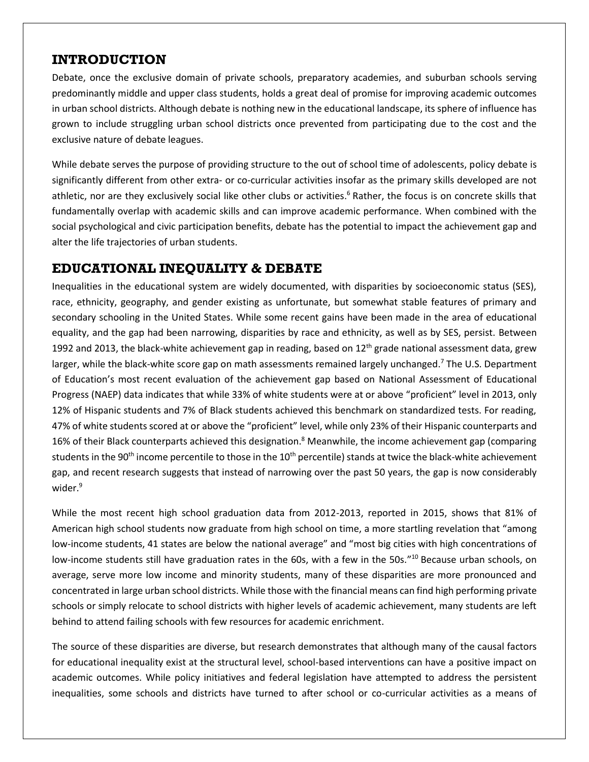### **INTRODUCTION**

Debate, once the exclusive domain of private schools, preparatory academies, and suburban schools serving predominantly middle and upper class students, holds a great deal of promise for improving academic outcomes in urban school districts. Although debate is nothing new in the educational landscape, its sphere of influence has grown to include struggling urban school districts once prevented from participating due to the cost and the exclusive nature of debate leagues.

While debate serves the purpose of providing structure to the out of school time of adolescents, policy debate is significantly different from other extra- or co-curricular activities insofar as the primary skills developed are not athletic, nor are they exclusively social like other clubs or activities.<sup>6</sup> Rather, the focus is on concrete skills that fundamentally overlap with academic skills and can improve academic performance. When combined with the social psychological and civic participation benefits, debate has the potential to impact the achievement gap and alter the life trajectories of urban students.

### **EDUCATIONAL INEQUALITY & DEBATE**

Inequalities in the educational system are widely documented, with disparities by socioeconomic status (SES), race, ethnicity, geography, and gender existing as unfortunate, but somewhat stable features of primary and secondary schooling in the United States. While some recent gains have been made in the area of educational equality, and the gap had been narrowing, disparities by race and ethnicity, as well as by SES, persist. Between 1992 and 2013, the black-white achievement gap in reading, based on  $12<sup>th</sup>$  grade national assessment data, grew larger, while the black-white score gap on math assessments remained largely unchanged.<sup>7</sup> The U.S. Department of Education's most recent evaluation of the achievement gap based on National Assessment of Educational Progress (NAEP) data indicates that while 33% of white students were at or above "proficient" level in 2013, only 12% of Hispanic students and 7% of Black students achieved this benchmark on standardized tests. For reading, 47% of white students scored at or above the "proficient" level, while only 23% of their Hispanic counterparts and 16% of their Black counterparts achieved this designation.<sup>8</sup> Meanwhile, the income achievement gap (comparing students in the 90<sup>th</sup> income percentile to those in the  $10^{th}$  percentile) stands at twice the black-white achievement gap, and recent research suggests that instead of narrowing over the past 50 years, the gap is now considerably wider.<sup>9</sup>

While the most recent high school graduation data from 2012-2013, reported in 2015, shows that 81% of American high school students now graduate from high school on time, a more startling revelation that "among low-income students, 41 states are below the national average" and "most big cities with high concentrations of low-income students still have graduation rates in the 60s, with a few in the 50s."<sup>10</sup> Because urban schools, on average, serve more low income and minority students, many of these disparities are more pronounced and concentrated in large urban school districts. While those with the financial means can find high performing private schools or simply relocate to school districts with higher levels of academic achievement, many students are left behind to attend failing schools with few resources for academic enrichment.

The source of these disparities are diverse, but research demonstrates that although many of the causal factors for educational inequality exist at the structural level, school-based interventions can have a positive impact on academic outcomes. While policy initiatives and federal legislation have attempted to address the persistent inequalities, some schools and districts have turned to after school or co-curricular activities as a means of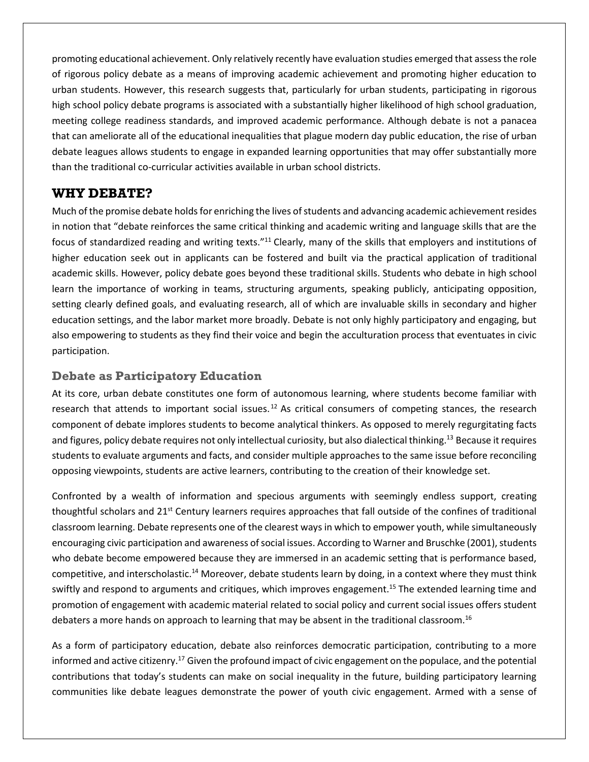promoting educational achievement. Only relatively recently have evaluation studies emerged that assess the role of rigorous policy debate as a means of improving academic achievement and promoting higher education to urban students. However, this research suggests that, particularly for urban students, participating in rigorous high school policy debate programs is associated with a substantially higher likelihood of high school graduation, meeting college readiness standards, and improved academic performance. Although debate is not a panacea that can ameliorate all of the educational inequalities that plague modern day public education, the rise of urban debate leagues allows students to engage in expanded learning opportunities that may offer substantially more than the traditional co-curricular activities available in urban school districts.

#### **WHY DEBATE?**

Much of the promise debate holds for enriching the lives of students and advancing academic achievement resides in notion that "debate reinforces the same critical thinking and academic writing and language skills that are the focus of standardized reading and writing texts."<sup>11</sup> Clearly, many of the skills that employers and institutions of higher education seek out in applicants can be fostered and built via the practical application of traditional academic skills. However, policy debate goes beyond these traditional skills. Students who debate in high school learn the importance of working in teams, structuring arguments, speaking publicly, anticipating opposition, setting clearly defined goals, and evaluating research, all of which are invaluable skills in secondary and higher education settings, and the labor market more broadly. Debate is not only highly participatory and engaging, but also empowering to students as they find their voice and begin the acculturation process that eventuates in civic participation.

#### **Debate as Participatory Education**

At its core, urban debate constitutes one form of autonomous learning, where students become familiar with research that attends to important social issues.<sup>12</sup> As critical consumers of competing stances, the research component of debate implores students to become analytical thinkers. As opposed to merely regurgitating facts and figures, policy debate requires not only intellectual curiosity, but also dialectical thinking.<sup>13</sup> Because it requires students to evaluate arguments and facts, and consider multiple approaches to the same issue before reconciling opposing viewpoints, students are active learners, contributing to the creation of their knowledge set.

Confronted by a wealth of information and specious arguments with seemingly endless support, creating thoughtful scholars and  $21^{st}$  Century learners requires approaches that fall outside of the confines of traditional classroom learning. Debate represents one of the clearest ways in which to empower youth, while simultaneously encouraging civic participation and awareness of social issues. According to Warner and Bruschke (2001), students who debate become empowered because they are immersed in an academic setting that is performance based, competitive, and interscholastic.<sup>14</sup> Moreover, debate students learn by doing, in a context where they must think swiftly and respond to arguments and critiques, which improves engagement.<sup>15</sup> The extended learning time and promotion of engagement with academic material related to social policy and current social issues offers student debaters a more hands on approach to learning that may be absent in the traditional classroom.<sup>16</sup>

As a form of participatory education, debate also reinforces democratic participation, contributing to a more informed and active citizenry.<sup>17</sup> Given the profound impact of civic engagement on the populace, and the potential contributions that today's students can make on social inequality in the future, building participatory learning communities like debate leagues demonstrate the power of youth civic engagement. Armed with a sense of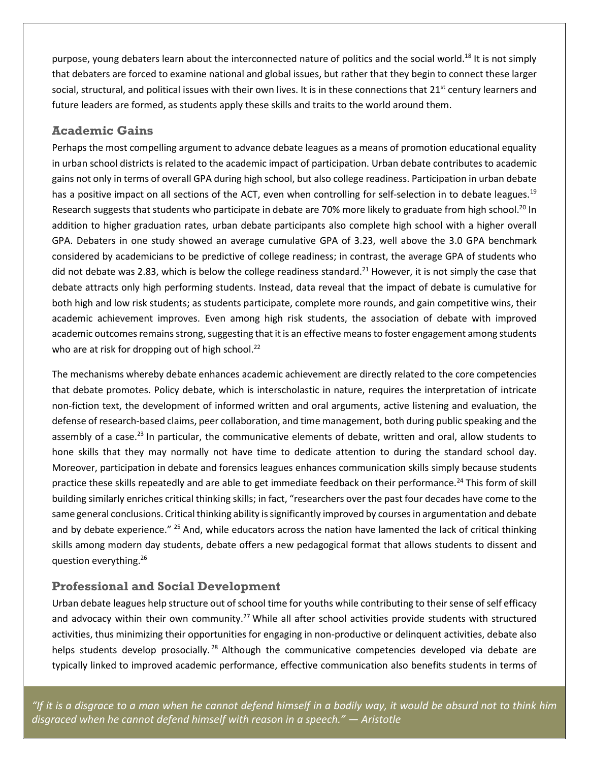purpose, young debaters learn about the interconnected nature of politics and the social world.<sup>18</sup> It is not simply that debaters are forced to examine national and global issues, but rather that they begin to connect these larger social, structural, and political issues with their own lives. It is in these connections that 21<sup>st</sup> century learners and future leaders are formed, as students apply these skills and traits to the world around them.

#### **Academic Gains**

Perhaps the most compelling argument to advance debate leagues as a means of promotion educational equality in urban school districts is related to the academic impact of participation. Urban debate contributes to academic gains not only in terms of overall GPA during high school, but also college readiness. Participation in urban debate has a positive impact on all sections of the ACT, even when controlling for self-selection in to debate leagues.<sup>19</sup> Research suggests that students who participate in debate are 70% more likely to graduate from high school.<sup>20</sup> In addition to higher graduation rates, urban debate participants also complete high school with a higher overall GPA. Debaters in one study showed an average cumulative GPA of 3.23, well above the 3.0 GPA benchmark considered by academicians to be predictive of college readiness; in contrast, the average GPA of students who did not debate was 2.83, which is below the college readiness standard.<sup>21</sup> However, it is not simply the case that debate attracts only high performing students. Instead, data reveal that the impact of debate is cumulative for both high and low risk students; as students participate, complete more rounds, and gain competitive wins, their academic achievement improves. Even among high risk students, the association of debate with improved academic outcomes remains strong, suggesting that it is an effective means to foster engagement among students who are at risk for dropping out of high school.<sup>22</sup>

The mechanisms whereby debate enhances academic achievement are directly related to the core competencies that debate promotes. Policy debate, which is interscholastic in nature, requires the interpretation of intricate non-fiction text, the development of informed written and oral arguments, active listening and evaluation, the defense of research-based claims, peer collaboration, and time management, both during public speaking and the assembly of a case.<sup>23</sup> In particular, the communicative elements of debate, written and oral, allow students to hone skills that they may normally not have time to dedicate attention to during the standard school day. Moreover, participation in debate and forensics leagues enhances communication skills simply because students practice these skills repeatedly and are able to get immediate feedback on their performance.<sup>24</sup> This form of skill building similarly enriches critical thinking skills; in fact, "researchers over the past four decades have come to the same general conclusions. Critical thinking ability issignificantly improved by courses in argumentation and debate and by debate experience." <sup>25</sup> And, while educators across the nation have lamented the lack of critical thinking skills among modern day students, debate offers a new pedagogical format that allows students to dissent and question everything.<sup>26</sup>

#### **Professional and Social Development**

Urban debate leagues help structure out of school time for youths while contributing to their sense of self efficacy and advocacy within their own community.<sup>27</sup> While all after school activities provide students with structured activities, thus minimizing their opportunities for engaging in non-productive or delinquent activities, debate also helps students develop prosocially.<sup>28</sup> Although the communicative competencies developed via debate are typically linked to improved academic performance, effective communication also benefits students in terms of

*"If it is a disgrace to a man when he cannot defend himself in a bodily way, it would be absurd not to think him disgraced when he cannot defend himself with reason in a speech." ― Aristotle*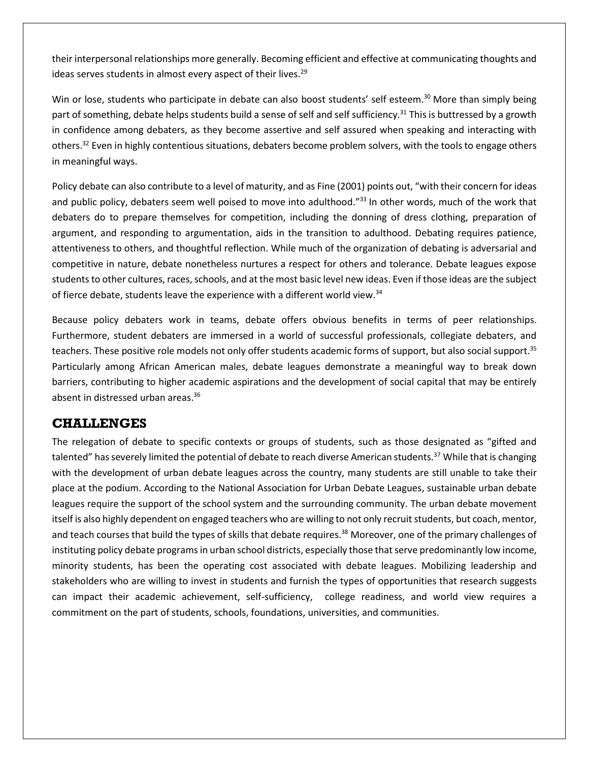their interpersonal relationships more generally. Becoming efficient and effective at communicating thoughts and ideas serves students in almost every aspect of their lives.<sup>29</sup>

Win or lose, students who participate in debate can also boost students' self esteem.<sup>30</sup> More than simply being part of something, debate helps students build a sense of self and self sufficiency.<sup>31</sup> This is buttressed by a growth in confidence among debaters, as they become assertive and self assured when speaking and interacting with others.<sup>32</sup> Even in highly contentious situations, debaters become problem solvers, with the tools to engage others in meaningful ways.

Policy debate can also contribute to a level of maturity, and as Fine (2001) points out, "with their concern for ideas and public policy, debaters seem well poised to move into adulthood."<sup>33</sup> In other words, much of the work that debaters do to prepare themselves for competition, including the donning of dress clothing, preparation of argument, and responding to argumentation, aids in the transition to adulthood. Debating requires patience, attentiveness to others, and thoughtful reflection. While much of the organization of debating is adversarial and competitive in nature, debate nonetheless nurtures a respect for others and tolerance. Debate leagues expose students to other cultures, races, schools, and at the most basic level new ideas. Even if those ideas are the subject of fierce debate, students leave the experience with a different world view.<sup>34</sup>

Because policy debaters work in teams, debate offers obvious benefits in terms of peer relationships. Furthermore, student debaters are immersed in a world of successful professionals, collegiate debaters, and teachers. These positive role models not only offer students academic forms of support, but also social support.<sup>35</sup> Particularly among African American males, debate leagues demonstrate a meaningful way to break down barriers, contributing to higher academic aspirations and the development of social capital that may be entirely absent in distressed urban areas.<sup>36</sup>

#### **CHALLENGES**

The relegation of debate to specific contexts or groups of students, such as those designated as "gifted and talented" has severely limited the potential of debate to reach diverse American students.<sup>37</sup> While that is changing with the development of urban debate leagues across the country, many students are still unable to take their place at the podium. According to the National Association for Urban Debate Leagues, sustainable urban debate leagues require the support of the school system and the surrounding community. The urban debate movement itself is also highly dependent on engaged teachers who are willing to not only recruit students, but coach, mentor, and teach courses that build the types of skills that debate requires.<sup>38</sup> Moreover, one of the primary challenges of instituting policy debate programs in urban school districts, especially those that serve predominantly low income, minority students, has been the operating cost associated with debate leagues. Mobilizing leadership and stakeholders who are willing to invest in students and furnish the types of opportunities that research suggests can impact their academic achievement, self-sufficiency, college readiness, and world view requires a commitment on the part of students, schools, foundations, universities, and communities.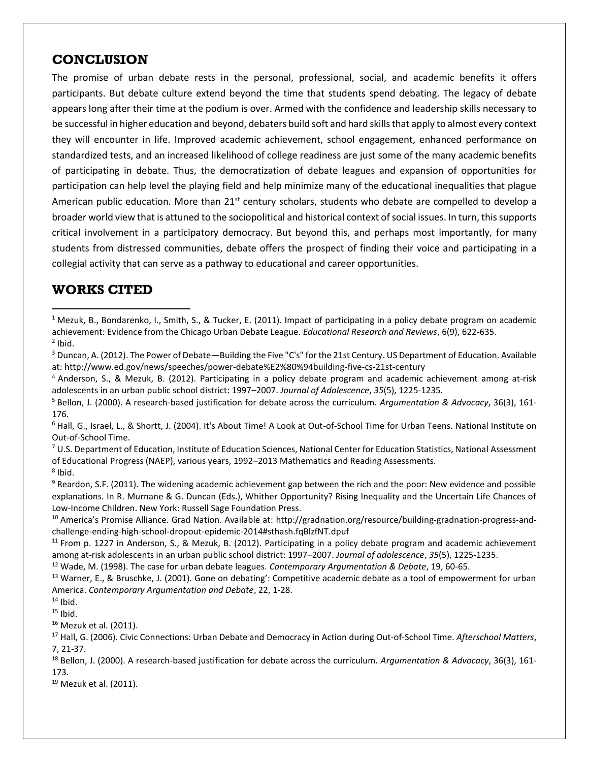### **CONCLUSION**

The promise of urban debate rests in the personal, professional, social, and academic benefits it offers participants. But debate culture extend beyond the time that students spend debating. The legacy of debate appears long after their time at the podium is over. Armed with the confidence and leadership skills necessary to be successful in higher education and beyond, debaters build soft and hard skills that apply to almost every context they will encounter in life. Improved academic achievement, school engagement, enhanced performance on standardized tests, and an increased likelihood of college readiness are just some of the many academic benefits of participating in debate. Thus, the democratization of debate leagues and expansion of opportunities for participation can help level the playing field and help minimize many of the educational inequalities that plague American public education. More than 21<sup>st</sup> century scholars, students who debate are compelled to develop a broader world view that is attuned to the sociopolitical and historical context of social issues. In turn, this supports critical involvement in a participatory democracy. But beyond this, and perhaps most importantly, for many students from distressed communities, debate offers the prospect of finding their voice and participating in a collegial activity that can serve as a pathway to educational and career opportunities.

## **WORKS CITED**

 $\overline{\phantom{a}}$ 

<sup>3</sup> Duncan, A. (2012). The Power of Debate—Building the Five "C's" for the 21st Century. US Department of Education. Available at: http://www.ed.gov/news/speeches/power-debate%E2%80%94building-five-cs-21st-century

<sup>4</sup> Anderson, S., & Mezuk, B. (2012). Participating in a policy debate program and academic achievement among at-risk adolescents in an urban public school district: 1997–2007. *Journal of Adolescence*, *35*(5), 1225-1235.

<sup>6</sup> Hall, G., Israel, L., & Shortt, J. (2004). It's About Time! A Look at Out-of-School Time for Urban Teens. National Institute on Out-of-School Time.

<sup>7</sup> U.S. Department of Education, Institute of Education Sciences, National Center for Education Statistics, National Assessment of Educational Progress (NAEP), various years, 1992–2013 Mathematics and Reading Assessments. 8 Ibid.

 $9$  Reardon, S.F. (2011). The widening academic achievement gap between the rich and the poor: New evidence and possible explanations. In R. Murnane & G. Duncan (Eds.), Whither Opportunity? Rising Inequality and the Uncertain Life Chances of Low-Income Children. New York: Russell Sage Foundation Press.

<sup>10</sup> America's Promise Alliance. Grad Nation. Available at: http://gradnation.org/resource/building-gradnation-progress-andchallenge-ending-high-school-dropout-epidemic-2014#sthash.fqBlzfNT.dpuf

 $11$  From p. 1227 in Anderson, S., & Mezuk, B. (2012). Participating in a policy debate program and academic achievement among at-risk adolescents in an urban public school district: 1997–2007. *Journal of adolescence*, *35*(5), 1225-1235.

<sup>12</sup> Wade, M. (1998). The case for urban debate leagues. *Contemporary Argumentation & Debate*, 19, 60-65.

<sup>13</sup> Warner, E., & Bruschke, J. (2001). Gone on debating': Competitive academic debate as a tool of empowerment for urban America. *Contemporary Argumentation and Debate*, 22, 1-28.

 $14$  Ibid.

 $15$  Ibid.

<sup>16</sup> Mezuk et al. (2011).

<sup>17</sup> Hall, G. (2006). Civic Connections: Urban Debate and Democracy in Action during Out-of-School Time. *Afterschool Matters*, 7, 21-37.

<sup>18</sup> Bellon, J. (2000). A research-based justification for debate across the curriculum. *Argumentation & Advocacy*, 36(3), 161- 173.

<sup>19</sup> Mezuk et al. (2011).

<sup>&</sup>lt;sup>1</sup> Mezuk, B., Bondarenko, I., Smith, S., & Tucker, E. (2011). Impact of participating in a policy debate program on academic achievement: Evidence from the Chicago Urban Debate League. *Educational Research and Reviews*, 6(9), 622-635.  $<sup>2</sup>$  Ibid.</sup>

<sup>5</sup> Bellon, J. (2000). A research-based justification for debate across the curriculum. *Argumentation & Advocacy*, 36(3), 161- 176.